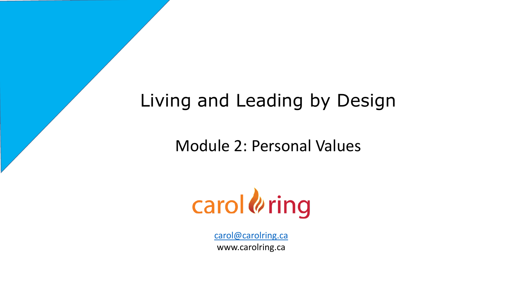# Living and Leading by Design

Module 2: Personal Values



[carol@carolring.ca](mailto:carol@carolring.ca) www.carolring.ca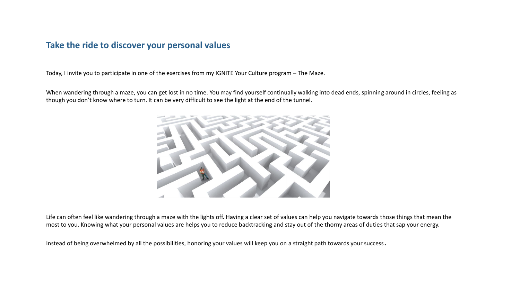### **Take the ride to discover your personal values**

Today, I invite you to participate in one of the exercises from my IGNITE Your Culture program – The Maze.

When wandering through a maze, you can get lost in no time. You may find yourself continually walking into dead ends, spinning around in circles, feeling as though you don't know where to turn. It can be very difficult to see the light at the end of the tunnel.



Life can often feel like wandering through a maze with the lights off. Having a clear set of values can help you navigate towards those things that mean the most to you. Knowing what your personal values are helps you to reduce backtracking and stay out of the thorny areas of duties that sap your energy.

Instead of being overwhelmed by all the possibilities, honoring your values will keep you on a straight path towards your success.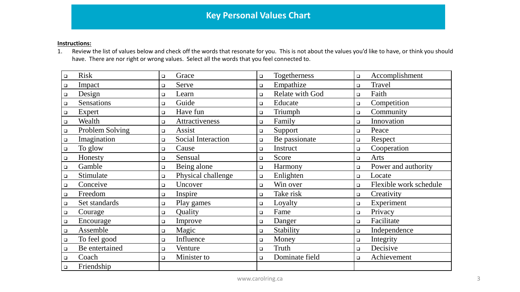#### **Instructions:**

1. Review the list of values below and check off the words that resonate for you. This is not about the values you'd like to have, or think you should have. There are nor right or wrong values. Select all the words that you feel connected to.

| <b>Risk</b>          | Grace                     | <b>Togetherness</b> | Accomplishment         |
|----------------------|---------------------------|---------------------|------------------------|
| $\Box$               | $\Box$                    | $\Box$              | $\Box$                 |
| Impact               | Serve                     | Empathize           | Travel                 |
| $\Box$               | $\Box$                    | $\Box$              | $\Box$                 |
| Design               | Learn                     | Relate with God     | Faith                  |
| $\hfill \square$     | $\Box$                    | $\Box$              | $\Box$                 |
| <b>Sensations</b>    | Guide                     | Educate             | Competition            |
| $\Box$               | $\Box$                    | $\Box$              | $\Box$                 |
| Expert               | Have fun                  | Triumph             | Community              |
| $\Box$               | $\Box$                    | $\Box$              | $\Box$                 |
| Wealth               | Attractiveness            | Family              | Innovation             |
| $\hfill \square$     | $\Box$                    | $\Box$              | $\Box$                 |
| Problem Solving      | Assist                    | Support             | Peace                  |
| $\Box$               | $\Box$                    | $\Box$              | $\Box$                 |
| Imagination          | <b>Social Interaction</b> | Be passionate       | Respect                |
| $\Box$               | $\Box$                    | $\Box$              | $\Box$                 |
| To glow              | Cause                     | Instruct            | Cooperation            |
| $\Box$               | $\Box$                    | $\Box$              | $\Box$                 |
| Honesty              | Sensual                   | Score               | Arts                   |
| $\Box$               | $\Box$                    | $\Box$              | $\Box$                 |
| Gamble               | Being alone               | Harmony             | Power and authority    |
| $\Box$               | $\Box$                    | $\Box$              | $\Box$                 |
| Stimulate            | Physical challenge        | Enlighten           | Locate                 |
| $\Box$               | $\Box$                    | $\Box$              | $\Box$                 |
| Conceive             | Uncover                   | Win over            | Flexible work schedule |
| $\Box$               | $\Box$                    | $\Box$              | $\Box$                 |
| Freedom              | Inspire                   | Take risk           | Creativity             |
| $\Box$               | $\Box$                    | $\Box$              | $\Box$                 |
| Set standards        | Play games                | Loyalty             | Experiment             |
| $\Box$               | $\Box$                    | $\Box$              | $\Box$                 |
| Courage              | Quality                   | Fame                | Privacy                |
| $\Box$               | $\Box$                    | $\Box$              | $\Box$                 |
| Encourage            | Improve                   | Danger              | Facilitate             |
| $\Box$               | $\Box$                    | $\Box$              | $\Box$                 |
| Assemble             | Magic                     | Stability           | Independence           |
| $\Box$               | $\Box$                    | $\Box$              | $\Box$                 |
| To feel good         | Influence                 | Money               | Integrity              |
| $\Box$               | $\Box$                    | $\Box$              | $\Box$                 |
| Be entertained       | Venture                   | Truth               | Decisive               |
| $\Box$               | $\Box$                    | $\Box$              | $\Box$                 |
| Coach                | Minister to               | Dominate field      | Achievement            |
| $\Box$               | $\Box$                    | $\Box$              | $\Box$                 |
| Friendship<br>$\Box$ |                           |                     |                        |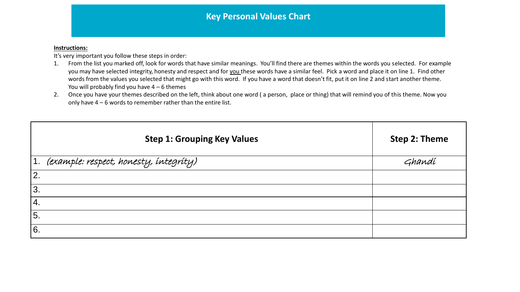#### **Instructions:**

It's very important you follow these steps in order:

- 1. From the list you marked off, look for words that have similar meanings. You'll find there are themes within the words you selected. For example you may have selected integrity, honesty and respect and for you these words have a similar feel. Pick a word and place it on line 1. Find other words from the values you selected that might go with this word. If you have a word that doesn't fit, put it on line 2 and start another theme. You will probably find you have  $4 - 6$  themes
- 2. Once you have your themes described on the left, think about one word (a person, place or thing) that will remind you of this theme. Now you only have 4 – 6 words to remember rather than the entire list.

| <b>Step 1: Grouping Key Values</b>               | Step 2: Theme |
|--------------------------------------------------|---------------|
| 1. <i>(example: respect, honesty, integrity)</i> | Ghandí        |
| 2.                                               |               |
| 3.                                               |               |
| 4.                                               |               |
| 5.                                               |               |
| 6.                                               |               |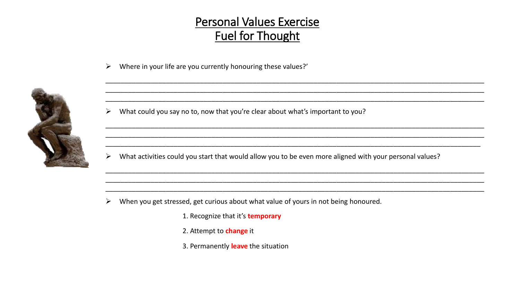### **Personal Values Exercise Fuel for Thought**

Where in your life are you currently honouring these values?'  $\blacktriangleright$ 



What could you say no to, now that you're clear about what's important to you?  $\blacktriangleright$ 

What activities could you start that would allow you to be even more aligned with your personal values?  $\blacktriangleright$ 

- When you get stressed, get curious about what value of yours in not being honoured. ➤
	- 1. Recognize that it's temporary
	- 2. Attempt to change it
	- 3. Permanently leave the situation